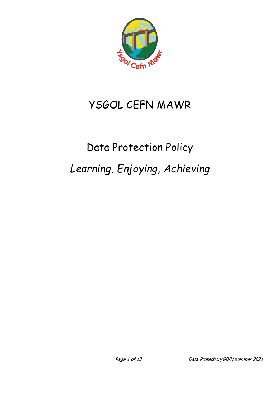

# YSGOL CEFN MAWR

# Data Protection Policy *Learning, Enjoying, Achieving*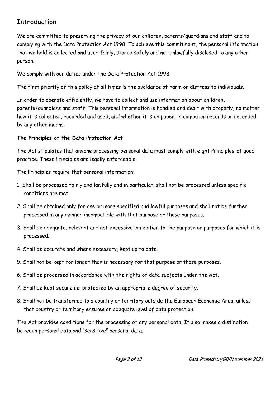# Introduction

We are committed to preserving the privacy of our children, parents/guardians and staff and to complying with the Data Protection Act 1998. To achieve this commitment, the personal information that we hold is collected and used fairly, stored safely and not unlawfully disclosed to any other person.

We comply with our duties under the Data Protection Act 1998.

The first priority of this policy at all times is the avoidance of harm or distress to individuals.

In order to operate efficiently, we have to collect and use information about children, parents/guardians and staff. This personal information is handled and dealt with properly, no matter how it is collected, recorded and used, and whether it is on paper, in computer records or recorded by any other means.

## **The Principles of the Data Protection Act**

The Act stipulates that anyone processing personal data must comply with eight Principles of good practice. These Principles are legally enforceable.

The Principles require that personal information:

- 1. Shall be processed fairly and lawfully and in particular, shall not be processed unless specific conditions are met.
- 2. Shall be obtained only for one or more specified and lawful purposes and shall not be further processed in any manner incompatible with that purpose or those purposes.
- 3. Shall be adequate, relevant and not excessive in relation to the purpose or purposes for which it is processed.
- 4. Shall be accurate and where necessary, kept up to date.
- 5. Shall not be kept for longer than is necessary for that purpose or those purposes.
- 6. Shall be processed in accordance with the rights of data subjects under the Act.
- 7. Shall be kept secure i.e. protected by an appropriate degree of security.
- 8. Shall not be transferred to a country or territory outside the European Economic Area, unless that country or territory ensures an adequate level of data protection.

The Act provides conditions for the processing of any personal data. It also makes a distinction between personal data and "sensitive" personal data.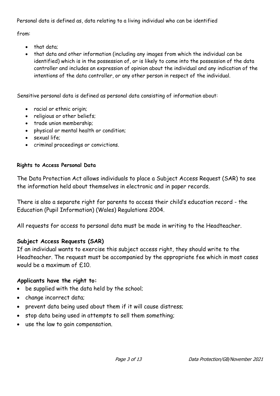Personal data is defined as, data relating to a living individual who can be identified

from:

- that data;
- that data and other information (including any images from which the individual can be identified) which is in the possession of, or is likely to come into the possession of the data controller and includes an expression of opinion about the individual and any indication of the intentions of the data controller, or any other person in respect of the individual.

Sensitive personal data is defined as personal data consisting of information about:

- racial or ethnic origin;
- religious or other beliefs;
- trade union membership;
- physical or mental health or condition;
- sexual life;
- criminal proceedings or convictions.

## **Rights to Access Personal Data**

The Data Protection Act allows individuals to place a Subject Access Request (SAR) to see the information held about themselves in electronic and in paper records.

There is also a separate right for parents to access their child's education record - the Education (Pupil Information) (Wales) Regulations 2004.

All requests for access to personal data must be made in writing to the Headteacher.

# **Subject Access Requests (SAR)**

If an individual wants to exercise this subject access right, they should write to the Headteacher. The request must be accompanied by the appropriate fee which in most cases would be a maximum of £10.

# **Applicants have the right to:**

- be supplied with the data held by the school;
- change incorrect data;
- prevent data being used about them if it will cause distress;
- stop data being used in attempts to sell them something;
- use the law to gain compensation.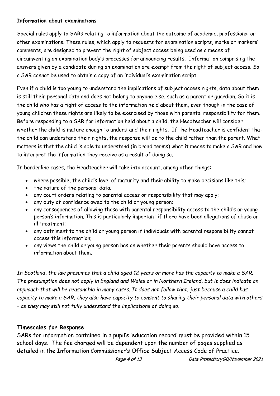#### **Information about examinations**

Special rules apply to SARs relating to information about the outcome of academic, professional or other examinations. These rules, which apply to requests for examination scripts, marks or markers' comments, are designed to prevent the right of subject access being used as a means of circumventing an examination body's processes for announcing results. Information comprising the answers given by a candidate during an examination are exempt from the right of subject access. So a SAR cannot be used to obtain a copy of an individual's examination script.

Even if a child is too young to understand the implications of subject access rights, data about them is still their personal data and does not belong to anyone else, such as a parent or guardian. So it is the child who has a right of access to the information held about them, even though in the case of young children these rights are likely to be exercised by those with parental responsibility for them. Before responding to a SAR for information held about a child, the Headteacher will consider whether the child is mature enough to understand their rights. If the Headteacher is confident that the child can understand their rights, the response will be to the child rather than the parent. What matters is that the child is able to understand (in broad terms) what it means to make a SAR and how to interpret the information they receive as a result of doing so.

In borderline cases, the Headteacher will take into account, among other things:

- where possible, the child's level of maturity and their ability to make decisions like this;
- the nature of the personal data;
- any court orders relating to parental access or responsibility that may apply;
- any duty of confidence owed to the child or young person;
- any consequences of allowing those with parental responsibility access to the child's or young person's information. This is particularly important if there have been allegations of abuse or ill treatment;
- any detriment to the child or young person if individuals with parental responsibility cannot access this information;
- any views the child or young person has on whether their parents should have access to information about them.

*In Scotland, the law presumes that a child aged 12 years or more has the capacity to make a SAR. The presumption does not apply in England and Wales or in Northern Ireland, but it does indicate an approach that will be reasonable in many cases. It does not follow that, just because a child has capacity to make a SAR, they also have capacity to consent to sharing their personal data with others – as they may still not fully understand the implications of doing so.*

# **Timescales for Response**

SARs for information contained in a pupil's 'education record' must be provided within 15 school days. The fee charged will be dependent upon the number of pages supplied as detailed in the Information Commissioner's Office Subject Access Code of Practice.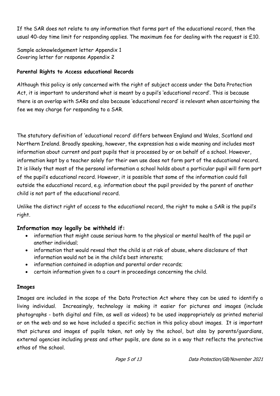If the SAR does not relate to any information that forms part of the educational record, then the usual 40-day time limit for responding applies. The maximum fee for dealing with the request is  $£10$ .

Sample acknowledgement letter Appendix 1 Covering letter for response Appendix 2

# **Parental Rights to Access educational Records**

Although this policy is only concerned with the right of subject access under the Data Protection Act, it is important to understand what is meant by a pupil's 'educational record'. This is because there is an overlap with SARs and also because 'educational record' is relevant when ascertaining the fee we may charge for responding to a SAR.

The statutory definition of 'educational record' differs between England and Wales, Scotland and Northern Ireland. Broadly speaking, however, the expression has a wide meaning and includes most information about current and past pupils that is processed by or on behalf of a school. However, information kept by a teacher solely for their own use does not form part of the educational record. It is likely that most of the personal information a school holds about a particular pupil will form part of the pupil's educational record. However, it is possible that some of the information could fall outside the educational record, e.g. information about the pupil provided by the parent of another child is not part of the educational record.

Unlike the distinct right of access to the educational record, the right to make a SAR is the pupil's right.

# **Information may legally be withheld if:**

- information that might cause serious harm to the physical or mental health of the pupil or another individual;
- information that would reveal that the child is at risk of abuse, where disclosure of that information would not be in the child's best interests;
- information contained in adoption and parental order records;
- certain information given to a court in proceedings concerning the child.

# **Images**

Images are included in the scope of the Data Protection Act where they can be used to identify a living individual. Increasingly, technology is making it easier for pictures and images (include photographs - both digital and film, as well as videos) to be used inappropriately as printed material or on the web and so we have included a specific section in this policy about images. It is important that pictures and images of pupils taken, not only by the school, but also by parents/guardians, external agencies including press and other pupils, are done so in a way that reflects the protective ethos of the school.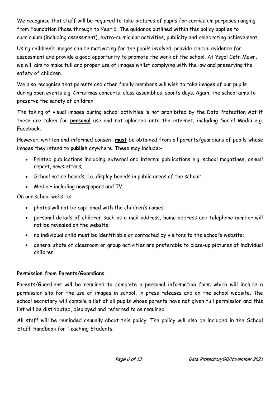We recognise that staff will be required to take pictures of pupils for curriculum purposes ranging from Foundation Phase through to Year 6. The guidance outlined within this policy applies to curriculum (including assessment), extra-curricular activities, publicity and celebrating achievement.

Using children's images can be motivating for the pupils involved, provide crucial evidence for assessment and provide a good opportunity to promote the work of the school. At Ysgol Cefn Mawr, we will aim to make full and proper use of images whilst complying with the law and preserving the safety of children.

We also recognise that parents and other family members will wish to take images of our pupils during open events e.g. Christmas concerts, class assemblies, sports days. Again, the school aims to preserve the safety of children.

The taking of visual images during school activities is not prohibited by the Data Protection Act if these are taken for **personal** use and not uploaded onto the internet, including Social Media e.g. Facebook.

However, written and informed consent **must** be obtained from all parents/guardians of pupils whose images they intend to **publish** anywhere. These may include:-

- Printed publications including external and internal publications e.g. school magazines, annual report, newsletters;
- School notice boards; i.e. display boards in public areas of the school;
- Media including newspapers and TV.

On our school website:

- photos will not be captioned with the children's names;
- personal details of children such as e-mail address, home address and telephone number will not be revealed on the website;
- no individual child must be identifiable or contacted by visitors to the school's website;
- general shots of classroom or group activities are preferable to close-up pictures of individual children.

# **Permission from Parents/Guardians**

Parents/Guardians will be required to complete a personal information form which will include a permission slip for the use of images in school, in press releases and on the school website. The school secretary will compile a list of all pupils whose parents have not given full permission and this list will be distributed, displayed and referred to as required.

All staff will be reminded annually about this policy. The policy will also be included in the School Staff Handbook for Teaching Students.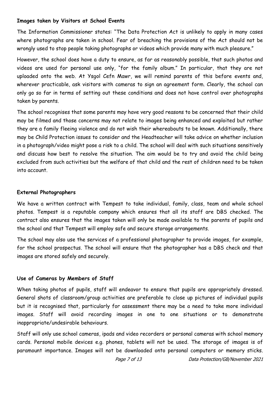#### **Images taken by Visitors at School Events**

The Information Commissioner states: "The Data Protection Act is unlikely to apply in many cases where photographs are taken in school. Fear of breaching the provisions of the Act should not be wrongly used to stop people taking photographs or videos which provide many with much pleasure."

However, the school does have a duty to ensure, as far as reasonably possible, that such photos and videos are used for personal use only, "for the family album." In particular, that they are not uploaded onto the web. At Ysgol Cefn Mawr, we will remind parents of this before events and, wherever practicable, ask visitors with cameras to sign an agreement form. Clearly, the school can only go so far in terms of setting out these conditions and does not have control over photographs taken by parents.

The school recognises that some parents may have very good reasons to be concerned that their child may be filmed and those concerns may not relate to images being enhanced and exploited but rather they are a family fleeing violence and do not wish their whereabouts to be known. Additionally, there may be Child Protection issues to consider and the Headteacher will take advice on whether inclusion in a photograph/video might pose a risk to a child. The school will deal with such situations sensitively and discuss how best to resolve the situation. The aim would be to try and avoid the child being excluded from such activities but the welfare of that child and the rest of children need to be taken into account.

#### **External Photographers**

We have a written contract with Tempest to take individual, family, class, team and whole school photos. Tempest is a reputable company which ensures that all its staff are DBS checked. The contract also ensures that the images taken will only be made available to the parents of pupils and the school and that Tempest will employ safe and secure storage arrangements.

The school may also use the services of a professional photographer to provide images, for example, for the school prospectus. The school will ensure that the photographer has a DBS check and that images are stored safely and securely.

#### **Use of Cameras by Members of Staff**

When taking photos of pupils, staff will endeavor to ensure that pupils are appropriately dressed. General shots of classroom/group activities are preferable to close up pictures of individual pupils but it is recognised that, particularly for assessment there may be a need to take more individual images. Staff will avoid recording images in one to one situations or to demonstrate inappropriate/undesirable behaviours.

Staff will only use school cameras, ipads and video recorders or personal cameras with school memory cards. Personal mobile devices e.g. phones, tablets will not be used. The storage of images is of paramount importance. Images will not be downloaded onto personal computers or memory sticks.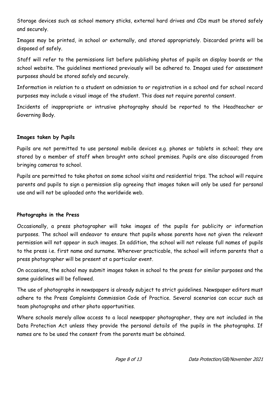Storage devices such as school memory sticks, external hard drives and CDs must be stored safely and securely.

Images may be printed, in school or externally, and stored appropriately. Discarded prints will be disposed of safely.

Staff will refer to the permissions list before publishing photos of pupils on display boards or the school website. The guidelines mentioned previously will be adhered to. Images used for assessment purposes should be stored safely and securely.

Information in relation to a student on admission to or registration in a school and for school record purposes may include a visual image of the student. This does not require parental consent.

Incidents of inappropriate or intrusive photography should be reported to the Headteacher or Governing Body.

#### **Images taken by Pupils**

Pupils are not permitted to use personal mobile devices e.g. phones or tablets in school; they are stored by a member of staff when brought onto school premises. Pupils are also discouraged from bringing cameras to school.

Pupils are permitted to take photos on some school visits and residential trips. The school will require parents and pupils to sign a permission slip agreeing that images taken will only be used for personal use and will not be uploaded onto the worldwide web.

#### **Photographs in the Press**

Occasionally, a press photographer will take images of the pupils for publicity or information purposes. The school will endeavor to ensure that pupils whose parents have not given the relevant permission will not appear in such images. In addition, the school will not release full names of pupils to the press i.e. first name and surname. Wherever practicable, the school will inform parents that a press photographer will be present at a particular event.

On occasions, the school may submit images taken in school to the press for similar purposes and the same guidelines will be followed.

The use of photographs in newspapers is already subject to strict guidelines. Newspaper editors must adhere to the Press Complaints Commission Code of Practice. Several scenarios can occur such as team photographs and other photo opportunities.

Where schools merely allow access to a local newspaper photographer, they are not included in the Data Protection Act unless they provide the personal details of the pupils in the photographs. If names are to be used the consent from the parents must be obtained.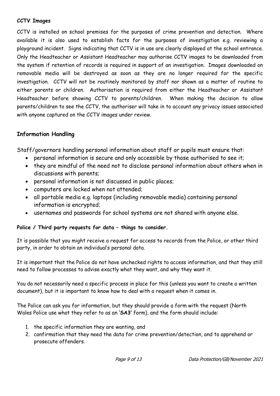#### **CCTV Images**

CCTV is installed on school premises for the purposes of crime prevention and detection. Where available it is also used to establish facts for the purposes of investigation e.g. reviewing a playground incident. Signs indicating that CCTV is in use are clearly displayed at the school entrance. Only the Headteacher or Assistant Headteacher may authorise CCTV images to be downloaded from the system if retention of records is required in support of an investigation. Images downloaded on removable media will be destroyed as soon as they are no longer required for the specific investigation. CCTV will not be routinely monitored by staff nor shown as a matter of routine to either parents or children. Authorisation is required from either the Headteacher or Assistant Headteacher before showing CCTV to parents/children. When making the decision to allow parents/children to see the CCTV, the authoriser will take in to account any privacy issues associated with anyone captured on the CCTV images under review.

# **Information Handling**

Staff/governors handling personal information about staff or pupils must ensure that:

- personal information is secure and only accessible by those authorised to see it;
- they are mindful of the need not to disclose personal information about others when in discussions with parents;
- personal information is not discussed in public places;
- computers are locked when not attended;
- all portable media e.g. laptops (including removable media) containing personal information is encrypted;
- usernames and passwords for school systems are not shared with anyone else.

#### **Police / Third party requests for data – things to consider.**

It is possible that you might receive a request for access to records from the Police, or other third party, in order to obtain an individual's personal data.

It is important that the Police do not have unchecked rights to access information, and that they still need to follow processes to advise exactly what they want, and why they want it.

You do not necessarily need a specific process in place for this (unless you want to create a written document), but it is important to know how to deal with a request when it comes in.

The Police can ask you for information, but they should provide a form with the request (North Wales Police use what they refer to as an **'SA3'** form), and the form should include:

- 1. the specific information they are wanting, and
- 2. confirmation that they need the data for crime prevention/detection, and to apprehend or prosecute offenders.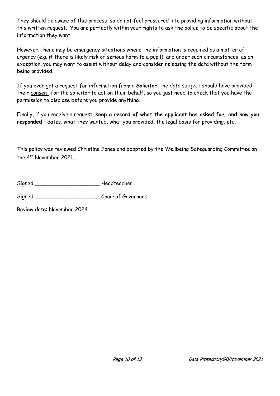They should be aware of this process, so do not feel pressured into providing information without this written request. You are perfectly within your rights to ask the police to be specific about the information they want.

However, there may be emergency situations where the information is required as a matter of urgency (e.g. if there is likely risk of serious harm to a pupil), and under such circumstances, as an exception, you may want to assist without delay and consider releasing the data without the form being provided.

If you ever get a request for information from a **Solicitor**, the data subject should have provided their consent for the solicitor to act on their behalf, so you just need to check that you have the permission to disclose before you provide anything.

Finally, if you receive a request, **keep a record of what the applicant has asked for, and how you responded** – dates, what they wanted, what you provided, the legal basis for providing, etc.

This policy was reviewed Christine Jones and adopted by the Wellbeing Safeguarding Committee on the 4<sup>th</sup> November 2021.

| Signed | Headteacher |
|--------|-------------|
|        |             |

Signed \_\_\_\_\_\_\_\_\_\_\_\_\_\_\_\_\_\_\_\_\_\_\_\_\_\_\_\_\_Chair of Governors

Review date: November 2024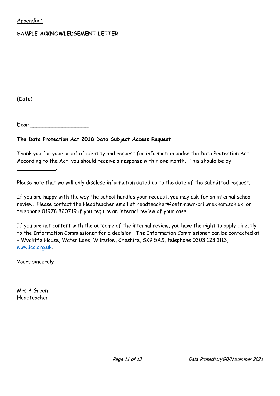#### Appendix 1

#### **SAMPLE ACKNOWLEDGEMENT LETTER**

(Date)

Dear \_\_\_\_\_\_\_\_\_\_\_\_\_\_\_\_\_\_

#### **The Data Protection Act 2018 Data Subject Access Request**

Thank you for your proof of identity and request for information under the Data Protection Act. According to the Act, you should receive a response within one month. This should be by

Please note that we will only disclose information dated up to the date of the submitted request.

If you are happy with the way the school handles your request, you may ask for an internal school review. Please contact the Headteacher email at headteacher@cefnmawr-pri.wrexham.sch.uk, or telephone 01978 820719 if you require an internal review of your case.

If you are not content with the outcome of the internal review, you have the right to apply directly to the Information Commissioner for a decision. The Information Commissioner can be contacted at – Wycliffe House, Water Lane, Wilmslow, Cheshire, SK9 5AS, telephone 0303 123 1113, [www.ico.org.uk.](http://www.ico.org.uk/)

Yours sincerely

\_\_\_\_\_\_\_\_\_\_\_\_.

Mrs A Green Headteacher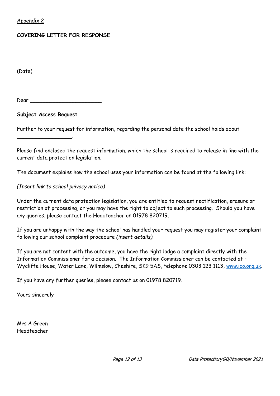Appendix 2

#### **COVERING LETTER FOR RESPONSE**

(Date)

Dear \_\_\_\_\_\_\_\_\_\_\_\_\_\_\_\_\_\_\_\_\_\_

#### **Subject Access Request**

\_\_\_\_\_\_\_\_\_\_\_\_\_\_\_\_\_.

Further to your request for information, regarding the personal date the school holds about

Please find enclosed the request information, which the school is required to release in line with the current data protection legislation.

The document explains how the school uses your information can be found at the following link:

*(Insert link to school privacy notice)*

Under the current data protection legislation, you are entitled to request rectification, erasure or restriction of processing, or you may have the right to object to such processing. Should you have any queries, please contact the Headteacher on 01978 820719.

If you are unhappy with the way the school has handled your request you may register your complaint following our school complaint procedure *(insert details).*

If you are not content with the outcome, you have the right lodge a complaint directly with the Information Commissioner for a decision. The Information Commissioner can be contacted at – Wycliffe House, Water Lane, Wilmslow, Cheshire, SK9 5AS, telephone 0303 123 1113, [www.ico.org.uk.](http://www.ico.org.uk/)

If you have any further queries, please contact us on 01978 820719.

Yours sincerely

Mrs A Green Headteacher